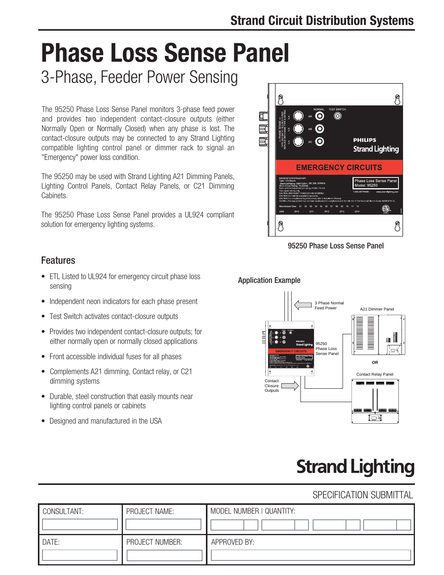# **Phase Loss Sense Panel**

3-Phase, Feeder Power Sensing

The 95250 Phase Loss Sense Panel monitors 3-phase feed power and provides two independent contact-closure outputs (either Normally Open or Normally Closed) when any phase is lost. The contact-closure outputs may be connected to any Strand Lighting compatible lighting control panel or dimmer rack to signal an "Emergency" power loss condition.

The 95250 may be used with Strand Lighting A21 Dimming Panels, Lighting Control Panels, Contact Relay Panels, or C21 Dimming Cabinets.

The 95250 Phase Loss Sense Panel provides a UL924 compliant solution for emergency lighting systems.



95250 Phase Loss Sense Panel

#### Features

- ETL Listed to UL924 for emergency circuit phase loss sensing
- Independent neon indicators for each phase present
- Test Switch activates contact-closure outputs
- Provides two independent contact-closure outputs; for either normally open or normally closed applications
- Front accessible individual fuses for all phases
- Complements A21 dimming, Contact relay, or C21 dimming systems
- Durable, steel construction that easily mounts near lighting control panels or cabinets
- Designed and manufactured in the USA

#### Application Example



# **Strand Lighting**

#### SPECIFICATION SUBMITTAL

| CONSULTANT: | PROJECT NAME:   | MODEL NUMBER   QUANTITY: |
|-------------|-----------------|--------------------------|
| DATE:       | PROJECT NUMBER: | APPROVED BY:             |